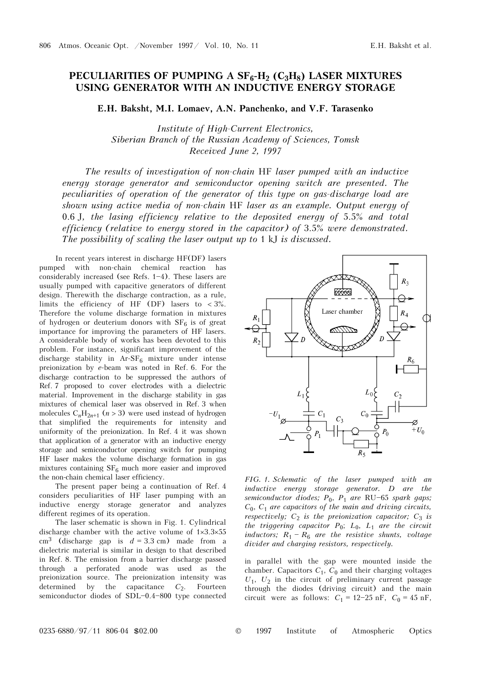## PECULIARITIES OF PUMPING A SF<sub>6</sub>-H<sub>2</sub> (C<sub>3</sub>H<sub>8</sub>) LASER MIXTURES **USING GENERATOR WITH AN INDUCTIVE ENERGY STORAGE**

**E.H. Baksht, M.I. Lomaev, A.N. Panchenko, and V.F. Tarasenko** 

*Institute of High-Current Electronics, Siberian Branch of the Russian Academy of Sciences, Tomsk Received June 2, 1997* 

*The results of investigation of non-chain* HF *laser pumped with an inductive energy storage generator and semiconductor opening switch are presented. The peculiarities of operation of the generator of this type on gas-discharge load are shown using active media of non-chain* HF *laser as an example. Output energy of*  0.6 J*, the lasing efficiency relative to the deposited energy of* 5.5% *and total efficiency (relative to energy stored in the capacitor) of* 3.5% *were demonstrated. The possibility of scaling the laser output up to 1 kJ is discussed.* 

In recent years interest in discharge HF(DF) lasers pumped with non-chain chemical reaction has considerably increased (see Refs.  $1-4$ ). These lasers are usually pumped with capacitive generators of different design. Therewith the discharge contraction, as a rule, limits the efficiency of HF (DF) lasers to  $<$  3%. Therefore the volume discharge formation in mixtures of hydrogen or deuterium donors with  $SF_6$  is of great importance for improving the parameters of HF lasers. A considerable body of works has been devoted to this problem. For instance, significant improvement of the discharge stability in  $Ar-SF_6$  mixture under intense preionization by *e*-beam was noted in Ref. 6. For the discharge contraction to be suppressed the authors of Ref. 7 proposed to cover electrodes with a dielectric material. Improvement in the discharge stability in gas mixtures of chemical laser was observed in Ref. 3 when molecules  $C_nH_{2n+1}$  ( $n > 3$ ) were used instead of hydrogen that simplified the requirements for intensity and uniformity of the preionization. In Ref. 4 it was shown that application of a generator with an inductive energy storage and semiconductor opening switch for pumping HF laser makes the volume discharge formation in gas mixtures containing  $SF_6$  much more easier and improved the non-chain chemical laser efficiency.

The present paper being a continuation of Ref. 4 considers peculiarities of HF laser pumping with an inductive energy storage generator and analyzes different regimes of its operation.

The laser schematic is shown in Fig. 1. Cylindrical discharge chamber with the active volume of 1×3.3×55  $cm<sup>3</sup>$  (discharge gap is  $d = 3.3$  cm) made from a dielectric material is similar in design to that described in Ref. 8. The emission from a barrier discharge passed through a perforated anode was used as the preionization source. The preionization intensity was determined by the capacitance  $C_2$ . Fourteen semiconductor diodes of SDL $-0.4 - 800$  type connected



*FIG. 1. Schematic of the laser pumped with an inductive energy storage generator. D are the semiconductor diodes;*  $P_0$ ,  $P_1$  *are* RU-65 *spark gaps; C*0, *C*<sup>1</sup> *are capacitors of the main and driving circuits, respectively;*  $C_2$  *is the preionization capacitor;*  $C_3$  *is the triggering capacitor*  $P_0$ ;  $L_0$ ,  $L_1$  *are the circuit inductors;*  $R_1 - R_6$  *are the resistive shunts, voltage divider and charging resistors, respectively.* 

in parallel with the gap were mounted inside the chamber. Capacitors  $C_1$ ,  $C_0$  and their charging voltages  $U_1$ ,  $U_2$  in the circuit of preliminary current passage through the diodes (driving circuit) and the main circuit were as follows:  $C_1 = 12-25$  nF,  $C_0 = 45$  nF,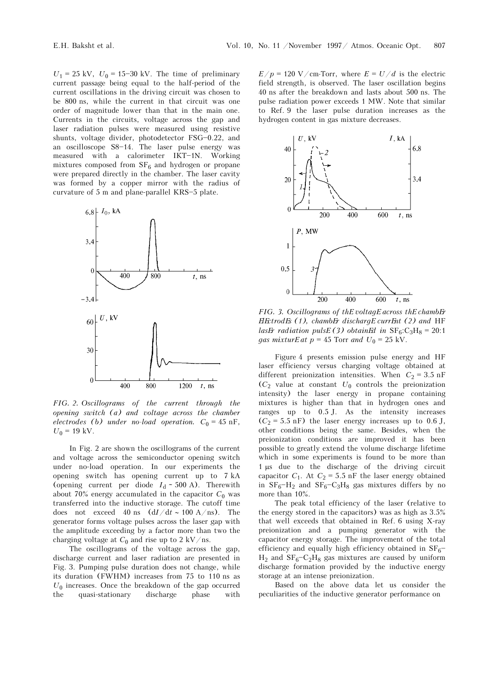$U_1 = 25 \text{ kV}, U_0 = 15 - 30 \text{ kV}.$  The time of preliminary current passage being equal to the half-period of the current oscillations in the driving circuit was chosen to be 800 ns, while the current in that circuit was one order of magnitude lower than that in the main one. Currents in the circuits, voltage across the gap and laser radiation pulses were measured using resistive shunts, voltage divider, photodetector FSG-0.22, and an oscilloscope  $S8-14$ . The laser pulse energy was measured with a calorimeter IKT-1N. Working mixtures composed from  $SF_6$  and hydrogen or propane were prepared directly in the chamber. The laser cavity was formed by a copper mirror with the radius of curvature of  $5 \text{ m}$  and plane-parallel KRS $-5$  plate.



*FIG. 2. Oscillograms of the current through the opening switch (a) and voltage across the chamber electrodes* (b) under no-load operation.  $C_0 = 45$  nF,  $U_0 = 19$  kV.

In Fig. 2 are shown the oscillograms of the current and voltage across the semiconductor opening switch under no-load operation. In our experiments the opening switch has opening current up to 7 kA (opening current per diode  $I_d \sim 500$  A). Therewith about 70% energy accumulated in the capacitor  $C_0$  was transferred into the inductive storage. The cutoff time does not exceed 40 ns (d*I*/d*t* ∼ 100 A/ns). The generator forms voltage pulses across the laser gap with the amplitude exceeding by a factor more than two the charging voltage at  $C_0$  and rise up to 2 kV/ns.

The oscillograms of the voltage across the gap, discharge current and laser radiation are presented in Fig. 3. Pumping pulse duration does not change, while its duration (FWHM) increases from 75 to 110 ns as  $U_0$  increases. Once the breakdown of the gap occurred the quasi-stationary discharge phase with

 $E/p = 120 \text{ V/cm-Torr}, \text{ where } E = U/d \text{ is the electric}$ field strength, is observed. The laser oscillation begins 40 ns after the breakdown and lasts about 500 ns. The pulse radiation power exceeds 1 MW. Note that similar to Ref. 9 the laser pulse duration increases as the hydrogen content in gas mixture decreases.



*FIG. 3. Oscillograms of the voltage across the chamber electrodes (1), chamber discharge current (2) and* HF *lasEr radiation pulsE(3) obtainEd in*  $SF_6:C_3H_8 = 20:1$ *gas mixturE at*  $p = 45$  Torr *and*  $U_0 = 25$  kV.

Figure 4 presents emission pulse energy and HF laser efficiency versus charging voltage obtained at different preionization intensities. When  $C_2 = 3.5$  nF  $(C_2$  value at constant  $U_0$  controls the preionization intensity) the laser energy in propane containing mixtures is higher than that in hydrogen ones and ranges up to 0.5 J. As the intensity increases  $(C_2 = 5.5 \text{ nF})$  the laser energy increases up to 0.6 J, other conditions being the same. Besides, when the preionization conditions are improved it has been possible to greatly extend the volume discharge lifetime which in some experiments is found to be more than 1 μs due to the discharge of the driving circuit capacitor  $C_1$ . At  $C_2 = 5.5$  nF the laser energy obtained in  $SF_6-H_2$  and  $SF_6-C_3H_8$  gas mixtures differs by no more than 10%.

The peak total efficiency of the laser (relative to the energy stored in the capacitors) was as high as 3.5% that well exceeds that obtained in Ref. 6 using X-ray preionization and a pumping generator with the capacitor energy storage. The improvement of the total efficiency and equally high efficiency obtained in  $SF_6^ H_2$  and  $SF_6-C_2H_8$  gas mixtures are caused by uniform discharge formation provided by the inductive energy storage at an intense preionization.

Based on the above data let us consider the peculiarities of the inductive generator performance on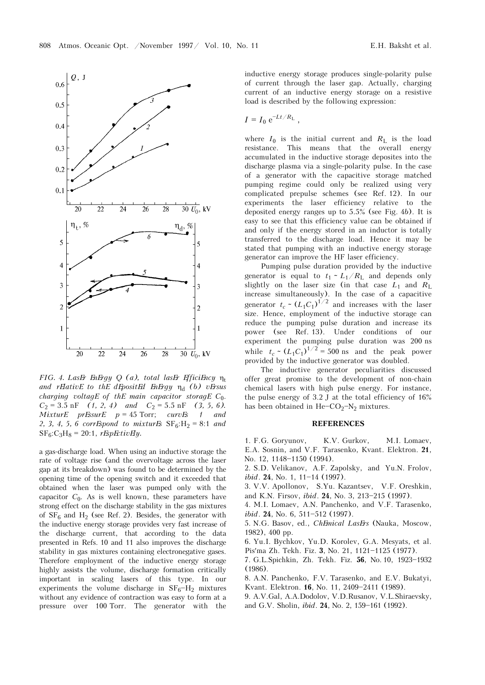

*FIG. 4. Laser energy Q (a), total laser efficiency* η<sup>t</sup> *and relative to the deposited energy* η<sup>d</sup> *(b) versus charging voltage of the main capacitor storage C*0.  $C_2 = 3.5 \text{ nF}$  (1, 2, 4) and  $C_2 = 5.5 \text{ nF}$  (3, 5, 6). *Mixture pressure p* = 45 Torr; *curves 1 and*  2, 3, 4, 5, 6 corr*Espond to mixturEs*  $SF_6: H_2 = 8:1$  *and*  $S_{\text{F}_6}:C_3H_8 = 20:1$ , *rEspEctivEly.* 

a gas-discharge load. When using an inductive storage the rate of voltage rise (and the overvoltage across the laser gap at its breakdown) was found to be determined by the opening time of the opening switch and it exceeded that obtained when the laser was pumped only with the capacitor  $C_0$ . As is well known, these parameters have strong effect on the discharge stability in the gas mixtures of  $SF_6$  and  $H_2$  (see Ref. 2). Besides, the generator with the inductive energy storage provides very fast increase of the discharge current, that according to the data presented in Refs. 10 and 11 also improves the discharge stability in gas mixtures containing electronegative gases. Therefore employment of the inductive energy storage highly assists the volume, discharge formation critically important in scaling lasers of this type. In our experiments the volume discharge in  $SF_6-H_2$  mixtures without any evidence of contraction was easy to form at a pressure over 100 Torr. The generator with the inductive energy storage produces single-polarity pulse of current through the laser gap. Actually, charging current of an inductive energy storage on a resistive load is described by the following expression:

$$
I = I_0 e^{-Lt/R_{\rm L}}
$$
,

where  $I_0$  is the initial current and  $R_1$  is the load resistance. This means that the overall energy accumulated in the inductive storage deposites into the discharge plasma via a single-polarity pulse. In the case of a generator with the capacitive storage matched pumping regime could only be realized using very complicated prepulse schemes (see Ref. 12). In our experiments the laser efficiency relative to the deposited energy ranges up to 5.5% (see Fig. 4*b*). It is easy to see that this efficiency value can be obtained if and only if the energy stored in an inductor is totally transferred to the discharge load. Hence it may be stated that pumping with an inductive energy storage generator can improve the HF laser efficiency.

Pumping pulse duration provided by the inductive generator is equal to  $t_1 \sim L_1/R$  and depends only slightly on the laser size (in that case  $L_1$  and  $R_L$ increase simultaneously). In the case of a capacitive generator  $t_c \sim (L_1 C_1)^{1/2}$  and increases with the laser size. Hence, employment of the inductive storage can reduce the pumping pulse duration and increase its power (see Ref. 13). Under conditions of our experiment the pumping pulse duration was 200 ns while  $t_c \sim (L_1 C_1)^{1/2} = 500$  ns and the peak power provided by the inductive generator was doubled.

The inductive generator peculiarities discussed offer great promise to the development of non-chain chemical lasers with high pulse energy. For instance, the pulse energy of  $3.2$  J at the total efficiency of  $16\%$ has been obtained in  $He$ - $CO_2$ - $N_2$  mixtures.

## **REFERENCES**

1. F.G. Goryunov, K.V. Gurkov, M.I. Lomaev, E.A. Sosnin, and V.F. Tarasenko, Kvant. Elektron. **21**, No. 12, 1148-1150 (1994).

2. S.D. Velikanov, A.F. Zapolsky, and Yu.N. Frolov,  $ibid. 24. No. 1, 11-14 (1997).$ 

3. V.V. Apollonov, S.Yu. Kazantsev, V.F. Oreshkin, and K.N. Firsov, *ibid.* **24**, No. 3, 213-215 (1997).

4. M.I. Lomaev, A.N. Panchenko, and V.F. Tarasenko, *ibid*. **24**, No. 6, 511-512 (1997).

5. N.G. Basov, ed., *Chemical Lasers* (Nauka, Moscow, 1982), 400 pp.

6. Yu.I. Bychkov, Yu.D. Korolev, G.A. Mesyats, et al. Pis'ma Zh. Tekh. Fiz. 3, No. 21, 1121-1125 (1977).

7. G.L.Spichkin, Zh. Tekh. Fiz. 56, No. 10, 1923-1932 (1986).

8. A.N. Panchenko, F.V. Tarasenko, and E.V. Bukatyi,

- Kvant. Elektron. **16**, No. 11, 2409-2411 (1989).
- 9. A.V.Gal, A.A.Dodolov, V.D.Rusanov, V.L.Shiraevsky, and G.V. Sholin, *ibid*. **24**, No. 2, 159-161 (1992).